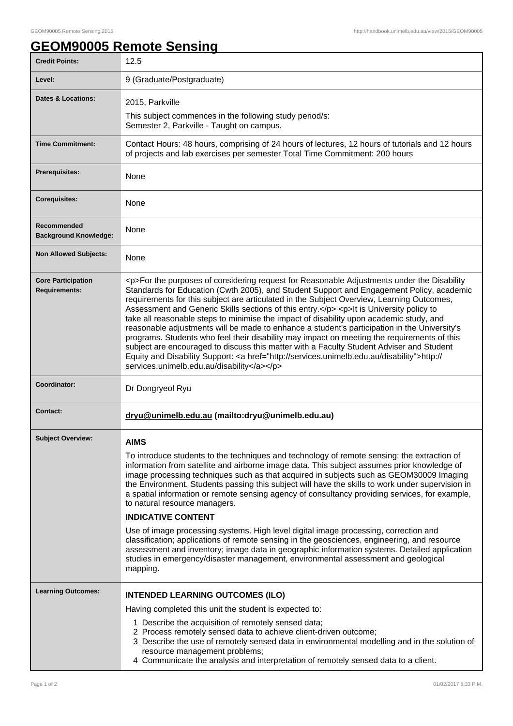## **GEOM90005 Remote Sensing**

| <b>Credit Points:</b>                             | 12.5                                                                                                                                                                                                                                                                                                                                                                                                                                                                                                                                                                                                                                                                                                                                                                                                                                                                                                                                                              |
|---------------------------------------------------|-------------------------------------------------------------------------------------------------------------------------------------------------------------------------------------------------------------------------------------------------------------------------------------------------------------------------------------------------------------------------------------------------------------------------------------------------------------------------------------------------------------------------------------------------------------------------------------------------------------------------------------------------------------------------------------------------------------------------------------------------------------------------------------------------------------------------------------------------------------------------------------------------------------------------------------------------------------------|
| Level:                                            | 9 (Graduate/Postgraduate)                                                                                                                                                                                                                                                                                                                                                                                                                                                                                                                                                                                                                                                                                                                                                                                                                                                                                                                                         |
| <b>Dates &amp; Locations:</b>                     | 2015, Parkville                                                                                                                                                                                                                                                                                                                                                                                                                                                                                                                                                                                                                                                                                                                                                                                                                                                                                                                                                   |
|                                                   | This subject commences in the following study period/s:<br>Semester 2, Parkville - Taught on campus.                                                                                                                                                                                                                                                                                                                                                                                                                                                                                                                                                                                                                                                                                                                                                                                                                                                              |
| <b>Time Commitment:</b>                           | Contact Hours: 48 hours, comprising of 24 hours of lectures, 12 hours of tutorials and 12 hours<br>of projects and lab exercises per semester Total Time Commitment: 200 hours                                                                                                                                                                                                                                                                                                                                                                                                                                                                                                                                                                                                                                                                                                                                                                                    |
| <b>Prerequisites:</b>                             | None                                                                                                                                                                                                                                                                                                                                                                                                                                                                                                                                                                                                                                                                                                                                                                                                                                                                                                                                                              |
| <b>Corequisites:</b>                              | None                                                                                                                                                                                                                                                                                                                                                                                                                                                                                                                                                                                                                                                                                                                                                                                                                                                                                                                                                              |
| Recommended<br><b>Background Knowledge:</b>       | <b>None</b>                                                                                                                                                                                                                                                                                                                                                                                                                                                                                                                                                                                                                                                                                                                                                                                                                                                                                                                                                       |
| <b>Non Allowed Subjects:</b>                      | None                                                                                                                                                                                                                                                                                                                                                                                                                                                                                                                                                                                                                                                                                                                                                                                                                                                                                                                                                              |
| <b>Core Participation</b><br><b>Requirements:</b> | <p>For the purposes of considering request for Reasonable Adjustments under the Disability<br/>Standards for Education (Cwth 2005), and Student Support and Engagement Policy, academic<br/>requirements for this subject are articulated in the Subject Overview, Learning Outcomes,<br/>Assessment and Generic Skills sections of this entry.</p> <p>lt is University policy to<br/>take all reasonable steps to minimise the impact of disability upon academic study, and<br/>reasonable adjustments will be made to enhance a student's participation in the University's<br/>programs. Students who feel their disability may impact on meeting the requirements of this<br/>subject are encouraged to discuss this matter with a Faculty Student Adviser and Student<br/>Equity and Disability Support: &lt; a href="http://services.unimelb.edu.au/disability"&gt;http://<br/>services.unimelb.edu.au/disability</p>                                      |
| Coordinator:                                      | Dr Dongryeol Ryu                                                                                                                                                                                                                                                                                                                                                                                                                                                                                                                                                                                                                                                                                                                                                                                                                                                                                                                                                  |
| <b>Contact:</b>                                   | dryu@unimelb.edu.au (mailto:dryu@unimelb.edu.au)                                                                                                                                                                                                                                                                                                                                                                                                                                                                                                                                                                                                                                                                                                                                                                                                                                                                                                                  |
| <b>Subject Overview:</b>                          | <b>AIMS</b><br>To introduce students to the techniques and technology of remote sensing: the extraction of<br>information from satellite and airborne image data. This subject assumes prior knowledge of<br>image processing techniques such as that acquired in subjects such as GEOM30009 Imaging<br>the Environment. Students passing this subject will have the skills to work under supervision in<br>a spatial information or remote sensing agency of consultancy providing services, for example,<br>to natural resource managers.<br><b>INDICATIVE CONTENT</b><br>Use of image processing systems. High level digital image processing, correction and<br>classification; applications of remote sensing in the geosciences, engineering, and resource<br>assessment and inventory; image data in geographic information systems. Detailed application<br>studies in emergency/disaster management, environmental assessment and geological<br>mapping. |
| <b>Learning Outcomes:</b>                         | <b>INTENDED LEARNING OUTCOMES (ILO)</b><br>Having completed this unit the student is expected to:<br>1 Describe the acquisition of remotely sensed data;<br>2 Process remotely sensed data to achieve client-driven outcome;<br>3 Describe the use of remotely sensed data in environmental modelling and in the solution of<br>resource management problems;<br>4 Communicate the analysis and interpretation of remotely sensed data to a client.                                                                                                                                                                                                                                                                                                                                                                                                                                                                                                               |